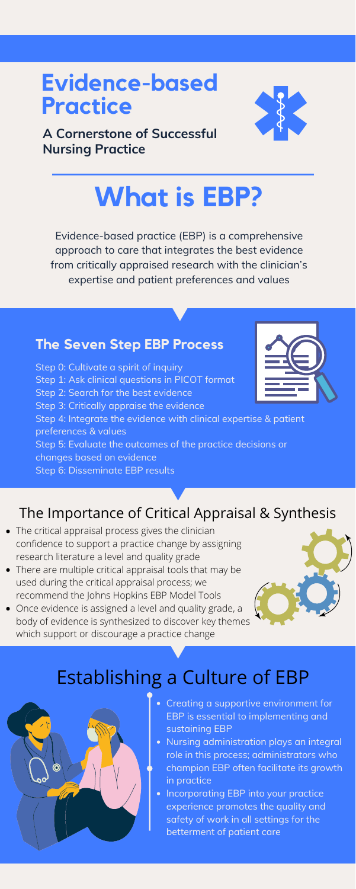# **Evidence-based Practice**



**A Cornerstone of Successful Nursing Practice**

- Creating a supportive environment for EBP is essential to implementing and sustaining EBP
- Nursing administration plays an integral role in this process; administrators who champion EBP often facilitate its growth in practice
- Incorporating EBP into your practice experience promotes the quality and safety of work in all settings for the betterment of patient care

Evidence-based practice (EBP) is a comprehensive approach to care that integrates the best evidence from critically appraised research with the clinician's expertise and patient preferences and values

# **What is EBP?**

#### **The Seven Step EBP Process**

Step 0: Cultivate a spirit of inquiry Step 1: Ask clinical questions in PICOT format Step 2: Search for the best evidence Step 3: Critically appraise the evidence Step 4: Integrate the evidence with clinical expertise & patient preferences & values Step 5: Evaluate the outcomes of the practice decisions or changes based on evidence Step 6: Disseminate EBP results



### The Importance of Critical Appraisal & Synthesis

• The critical appraisal process gives the clinician



## Establishing a Culture of EBP



confidence to support a practice change by assigning research literature a level and quality grade

- There are multiple critical appraisal tools that may be used during the critical appraisal process; we recommend the Johns Hopkins EBP Model Tools
- Once evidence is assigned a level and quality grade, a body of evidence is synthesized to discover key themes which support or discourage a practice change